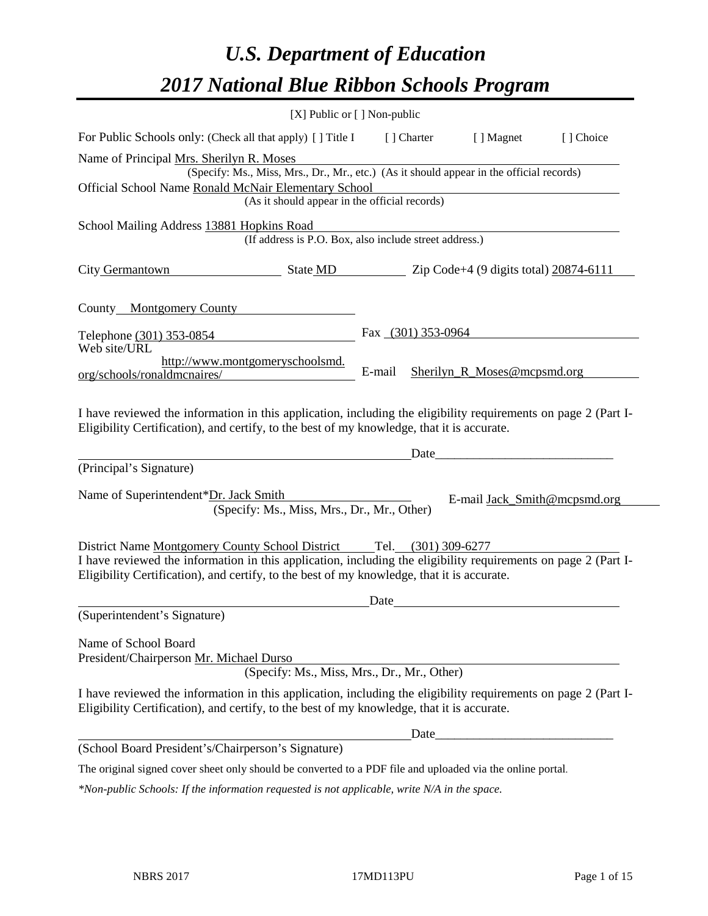# *U.S. Department of Education 2017 National Blue Ribbon Schools Program*

|                                                                                                                                                                                                                                                                 | [X] Public or [] Non-public                                                              |        |                      |                                                             |            |
|-----------------------------------------------------------------------------------------------------------------------------------------------------------------------------------------------------------------------------------------------------------------|------------------------------------------------------------------------------------------|--------|----------------------|-------------------------------------------------------------|------------|
| For Public Schools only: (Check all that apply) [ ] Title I                                                                                                                                                                                                     |                                                                                          |        | [] Charter           | [ ] Magnet                                                  | [ ] Choice |
| Name of Principal Mrs. Sherilyn R. Moses<br>Official School Name Ronald McNair Elementary School                                                                                                                                                                | (Specify: Ms., Miss, Mrs., Dr., Mr., etc.) (As it should appear in the official records) |        |                      |                                                             |            |
|                                                                                                                                                                                                                                                                 | (As it should appear in the official records)                                            |        |                      |                                                             |            |
| School Mailing Address 13881 Hopkins Road                                                                                                                                                                                                                       | (If address is P.O. Box, also include street address.)                                   |        |                      |                                                             |            |
| City Germantown State MD Zip Code+4 (9 digits total) 20874-6111                                                                                                                                                                                                 |                                                                                          |        |                      |                                                             |            |
| County Montgomery County                                                                                                                                                                                                                                        |                                                                                          |        |                      |                                                             |            |
| Telephone (301) 353-0854                                                                                                                                                                                                                                        |                                                                                          |        | Fax $(301)$ 353-0964 |                                                             |            |
| Web site/URL<br>org/schools/ronaldmcnaires/                                                                                                                                                                                                                     | http://www.montgomeryschoolsmd.                                                          | E-mail |                      | Sherilyn_R_Moses@mcpsmd.org                                 |            |
| I have reviewed the information in this application, including the eligibility requirements on page 2 (Part I-<br>Eligibility Certification), and certify, to the best of my knowledge, that it is accurate.                                                    |                                                                                          |        |                      |                                                             |            |
| (Principal's Signature)                                                                                                                                                                                                                                         |                                                                                          |        | Date                 |                                                             |            |
| Name of Superintendent*Dr. Jack Smith                                                                                                                                                                                                                           | (Specify: Ms., Miss, Mrs., Dr., Mr., Other)                                              |        |                      | E-mail Jack_Smith@mcpsmd.org                                |            |
| District Name Montgomery County School District<br>I have reviewed the information in this application, including the eligibility requirements on page 2 (Part I-<br>Eligibility Certification), and certify, to the best of my knowledge, that it is accurate. |                                                                                          |        | Tel. (301) 309-6277  |                                                             |            |
|                                                                                                                                                                                                                                                                 |                                                                                          |        |                      |                                                             |            |
| (Superintendent's Signature)                                                                                                                                                                                                                                    |                                                                                          | Date   |                      |                                                             |            |
| Name of School Board<br>President/Chairperson Mr. Michael Durso                                                                                                                                                                                                 | (Specify: Ms., Miss, Mrs., Dr., Mr., Other)                                              |        |                      |                                                             |            |
| I have reviewed the information in this application, including the eligibility requirements on page 2 (Part I-<br>Eligibility Certification), and certify, to the best of my knowledge, that it is accurate.                                                    |                                                                                          |        |                      |                                                             |            |
|                                                                                                                                                                                                                                                                 |                                                                                          |        | Date_                | <u> 1989 - Johann Barn, mars and de Brasilian (b. 1989)</u> |            |
| (School Board President's/Chairperson's Signature)                                                                                                                                                                                                              |                                                                                          |        |                      |                                                             |            |
| The original signed cover sheet only should be converted to a PDF file and uploaded via the online portal.                                                                                                                                                      |                                                                                          |        |                      |                                                             |            |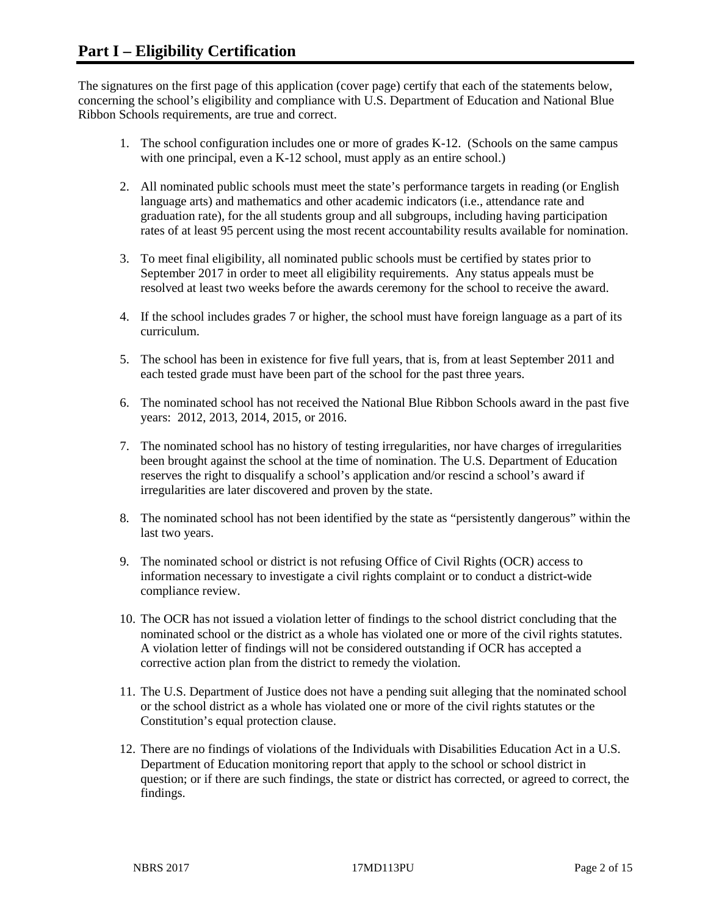The signatures on the first page of this application (cover page) certify that each of the statements below, concerning the school's eligibility and compliance with U.S. Department of Education and National Blue Ribbon Schools requirements, are true and correct.

- 1. The school configuration includes one or more of grades K-12. (Schools on the same campus with one principal, even a K-12 school, must apply as an entire school.)
- 2. All nominated public schools must meet the state's performance targets in reading (or English language arts) and mathematics and other academic indicators (i.e., attendance rate and graduation rate), for the all students group and all subgroups, including having participation rates of at least 95 percent using the most recent accountability results available for nomination.
- 3. To meet final eligibility, all nominated public schools must be certified by states prior to September 2017 in order to meet all eligibility requirements. Any status appeals must be resolved at least two weeks before the awards ceremony for the school to receive the award.
- 4. If the school includes grades 7 or higher, the school must have foreign language as a part of its curriculum.
- 5. The school has been in existence for five full years, that is, from at least September 2011 and each tested grade must have been part of the school for the past three years.
- 6. The nominated school has not received the National Blue Ribbon Schools award in the past five years: 2012, 2013, 2014, 2015, or 2016.
- 7. The nominated school has no history of testing irregularities, nor have charges of irregularities been brought against the school at the time of nomination. The U.S. Department of Education reserves the right to disqualify a school's application and/or rescind a school's award if irregularities are later discovered and proven by the state.
- 8. The nominated school has not been identified by the state as "persistently dangerous" within the last two years.
- 9. The nominated school or district is not refusing Office of Civil Rights (OCR) access to information necessary to investigate a civil rights complaint or to conduct a district-wide compliance review.
- 10. The OCR has not issued a violation letter of findings to the school district concluding that the nominated school or the district as a whole has violated one or more of the civil rights statutes. A violation letter of findings will not be considered outstanding if OCR has accepted a corrective action plan from the district to remedy the violation.
- 11. The U.S. Department of Justice does not have a pending suit alleging that the nominated school or the school district as a whole has violated one or more of the civil rights statutes or the Constitution's equal protection clause.
- 12. There are no findings of violations of the Individuals with Disabilities Education Act in a U.S. Department of Education monitoring report that apply to the school or school district in question; or if there are such findings, the state or district has corrected, or agreed to correct, the findings.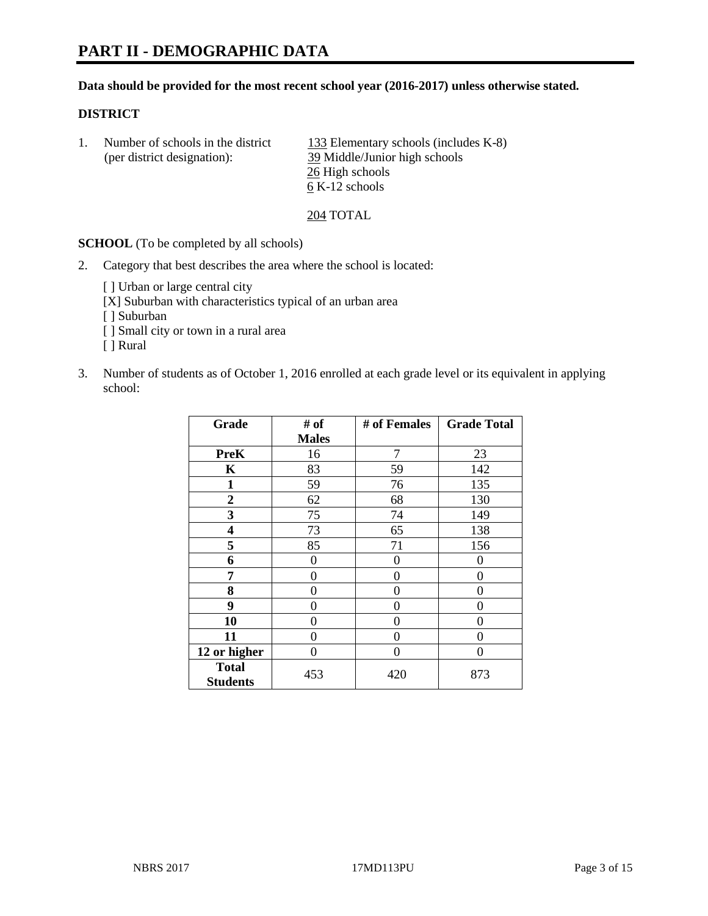# **PART II - DEMOGRAPHIC DATA**

#### **Data should be provided for the most recent school year (2016-2017) unless otherwise stated.**

#### **DISTRICT**

| Number of schools in the district | 133 Elementary schools (includes K-8) |
|-----------------------------------|---------------------------------------|
| (per district designation):       | 39 Middle/Junior high schools         |
|                                   | 26 High schools                       |
|                                   | 6 K-12 schools                        |

204 TOTAL

**SCHOOL** (To be completed by all schools)

2. Category that best describes the area where the school is located:

[ ] Urban or large central city [X] Suburban with characteristics typical of an urban area

[ ] Suburban

- [ ] Small city or town in a rural area
- [ ] Rural
- 3. Number of students as of October 1, 2016 enrolled at each grade level or its equivalent in applying school:

| Grade                           | # of         | # of Females | <b>Grade Total</b> |
|---------------------------------|--------------|--------------|--------------------|
|                                 | <b>Males</b> |              |                    |
| <b>PreK</b>                     | 16           | 7            | 23                 |
| $\mathbf K$                     | 83           | 59           | 142                |
| $\mathbf{1}$                    | 59           | 76           | 135                |
| $\overline{2}$                  | 62           | 68           | 130                |
| 3                               | 75           | 74           | 149                |
| 4                               | 73           | 65           | 138                |
| 5                               | 85           | 71           | 156                |
| 6                               | $\theta$     | $\theta$     | 0                  |
| 7                               | 0            | $\Omega$     | 0                  |
| 8                               | $\theta$     | $\theta$     | 0                  |
| 9                               | 0            | $\Omega$     | 0                  |
| 10                              | 0            | 0            | 0                  |
| 11                              | 0            | 0            | 0                  |
| 12 or higher                    | 0            | 0            | 0                  |
| <b>Total</b><br><b>Students</b> | 453          | 420          | 873                |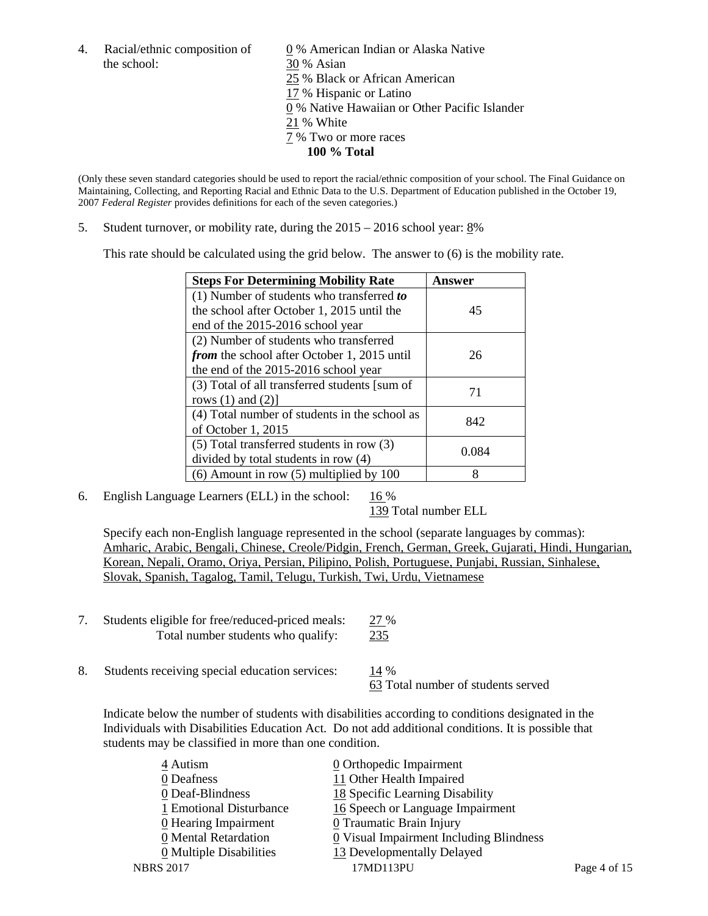the school: 30 % Asian

4. Racial/ethnic composition of  $\qquad \qquad \underline{0}$  % American Indian or Alaska Native 25 % Black or African American 17 % Hispanic or Latino 0 % Native Hawaiian or Other Pacific Islander 21 % White 7 % Two or more races **100 % Total**

(Only these seven standard categories should be used to report the racial/ethnic composition of your school. The Final Guidance on Maintaining, Collecting, and Reporting Racial and Ethnic Data to the U.S. Department of Education published in the October 19, 2007 *Federal Register* provides definitions for each of the seven categories.)

5. Student turnover, or mobility rate, during the 2015 – 2016 school year: 8%

This rate should be calculated using the grid below. The answer to (6) is the mobility rate.

| <b>Steps For Determining Mobility Rate</b>         | Answer |  |
|----------------------------------------------------|--------|--|
| (1) Number of students who transferred to          |        |  |
| the school after October 1, 2015 until the         | 45     |  |
| end of the 2015-2016 school year                   |        |  |
| (2) Number of students who transferred             |        |  |
| <i>from</i> the school after October 1, 2015 until | 26     |  |
| the end of the 2015-2016 school year               |        |  |
| (3) Total of all transferred students [sum of      | 71     |  |
| rows $(1)$ and $(2)$ ]                             |        |  |
| (4) Total number of students in the school as      | 842    |  |
| of October 1, 2015                                 |        |  |
| (5) Total transferred students in row (3)          | 0.084  |  |
| divided by total students in row (4)               |        |  |
| $(6)$ Amount in row $(5)$ multiplied by 100        | 8      |  |

6. English Language Learners (ELL) in the school:  $16\%$ 

139 Total number ELL

Specify each non-English language represented in the school (separate languages by commas): Amharic, Arabic, Bengali, Chinese, Creole/Pidgin, French, German, Greek, Gujarati, Hindi, Hungarian, Korean, Nepali, Oramo, Oriya, Persian, Pilipino, Polish, Portuguese, Punjabi, Russian, Sinhalese, Slovak, Spanish, Tagalog, Tamil, Telugu, Turkish, Twi, Urdu, Vietnamese

- 7. Students eligible for free/reduced-priced meals: 27 % Total number students who qualify: 235
- 8. Students receiving special education services: 14 %

63 Total number of students served

Indicate below the number of students with disabilities according to conditions designated in the Individuals with Disabilities Education Act. Do not add additional conditions. It is possible that students may be classified in more than one condition.

| 4 Autism                           | 0 Orthopedic Impairment                 |              |
|------------------------------------|-----------------------------------------|--------------|
| 0 Deafness                         | 11 Other Health Impaired                |              |
| 0 Deaf-Blindness                   | 18 Specific Learning Disability         |              |
| 1 Emotional Disturbance            | 16 Speech or Language Impairment        |              |
| $\underline{0}$ Hearing Impairment | <b>0</b> Traumatic Brain Injury         |              |
| 0 Mental Retardation               | 0 Visual Impairment Including Blindness |              |
| 0 Multiple Disabilities            | 13 Developmentally Delayed              |              |
| <b>NBRS 2017</b>                   | 17MD113PU                               | Page 4 of 15 |
|                                    |                                         |              |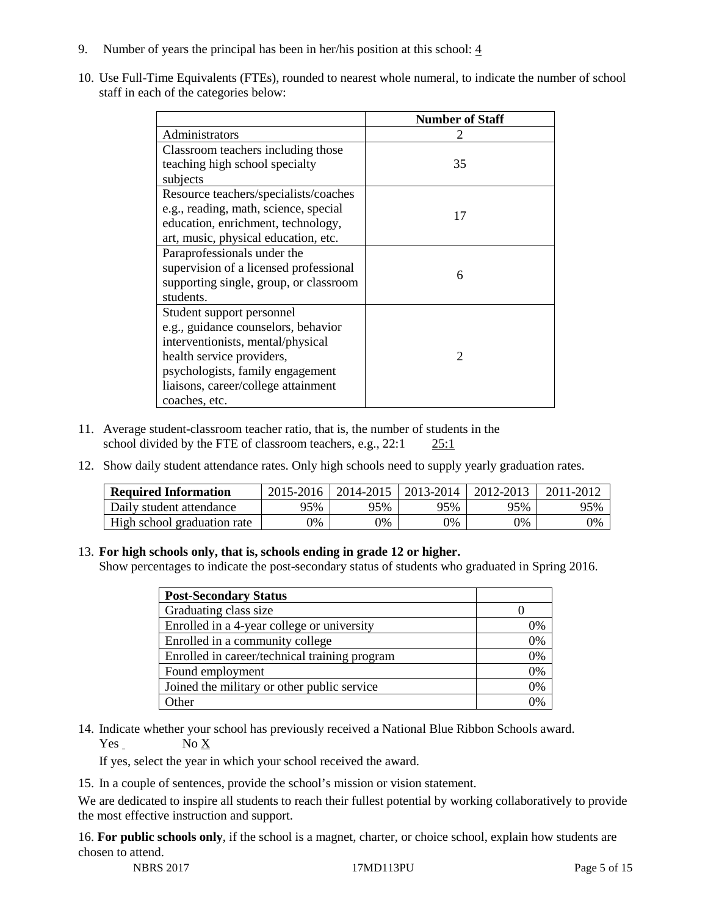- 9. Number of years the principal has been in her/his position at this school:  $\frac{4}{3}$
- 10. Use Full-Time Equivalents (FTEs), rounded to nearest whole numeral, to indicate the number of school staff in each of the categories below:

|                                        | <b>Number of Staff</b>      |  |  |
|----------------------------------------|-----------------------------|--|--|
| Administrators                         |                             |  |  |
| Classroom teachers including those     |                             |  |  |
| teaching high school specialty         | 35                          |  |  |
| subjects                               |                             |  |  |
| Resource teachers/specialists/coaches  |                             |  |  |
| e.g., reading, math, science, special  | 17                          |  |  |
| education, enrichment, technology,     |                             |  |  |
| art, music, physical education, etc.   |                             |  |  |
| Paraprofessionals under the            |                             |  |  |
| supervision of a licensed professional | 6                           |  |  |
| supporting single, group, or classroom |                             |  |  |
| students.                              |                             |  |  |
| Student support personnel              |                             |  |  |
| e.g., guidance counselors, behavior    |                             |  |  |
| interventionists, mental/physical      |                             |  |  |
| health service providers,              | $\mathcal{D}_{\mathcal{L}}$ |  |  |
| psychologists, family engagement       |                             |  |  |
| liaisons, career/college attainment    |                             |  |  |
| coaches, etc.                          |                             |  |  |

- 11. Average student-classroom teacher ratio, that is, the number of students in the school divided by the FTE of classroom teachers, e.g., 22:1 25:1
- 12. Show daily student attendance rates. Only high schools need to supply yearly graduation rates.

| <b>Required Information</b> | 2015-2016 | 2014-2015 | 2013-2014 | 2012-2013 |     |
|-----------------------------|-----------|-----------|-----------|-----------|-----|
| Daily student attendance    | 95%       | 95%       | 95%       | 95%       | 95% |
| High school graduation rate | 0%        | 0%        | 0%        | 9%        | 0%  |

#### 13. **For high schools only, that is, schools ending in grade 12 or higher.**

Show percentages to indicate the post-secondary status of students who graduated in Spring 2016.

| <b>Post-Secondary Status</b>                  |    |
|-----------------------------------------------|----|
| Graduating class size                         |    |
| Enrolled in a 4-year college or university    | 0% |
| Enrolled in a community college               | 0% |
| Enrolled in career/technical training program | 0% |
| Found employment                              | 0% |
| Joined the military or other public service   | 0% |
| )ther                                         |    |

14. Indicate whether your school has previously received a National Blue Ribbon Schools award. Yes No X

If yes, select the year in which your school received the award.

15. In a couple of sentences, provide the school's mission or vision statement.

We are dedicated to inspire all students to reach their fullest potential by working collaboratively to provide the most effective instruction and support.

16. **For public schools only**, if the school is a magnet, charter, or choice school, explain how students are chosen to attend.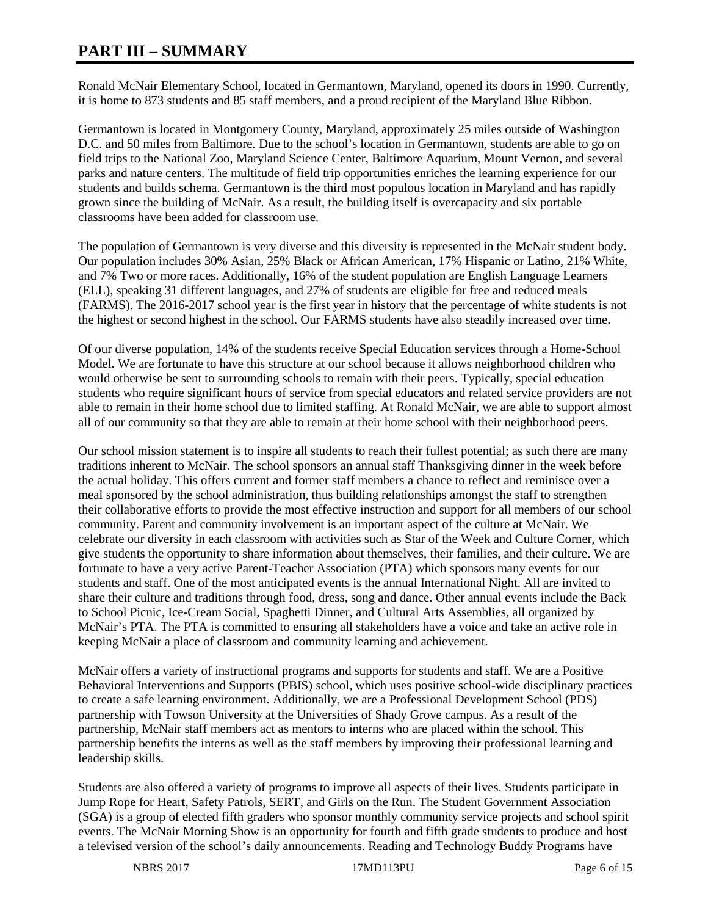## **PART III – SUMMARY**

Ronald McNair Elementary School, located in Germantown, Maryland, opened its doors in 1990. Currently, it is home to 873 students and 85 staff members, and a proud recipient of the Maryland Blue Ribbon.

Germantown is located in Montgomery County, Maryland, approximately 25 miles outside of Washington D.C. and 50 miles from Baltimore. Due to the school's location in Germantown, students are able to go on field trips to the National Zoo, Maryland Science Center, Baltimore Aquarium, Mount Vernon, and several parks and nature centers. The multitude of field trip opportunities enriches the learning experience for our students and builds schema. Germantown is the third most populous location in Maryland and has rapidly grown since the building of McNair. As a result, the building itself is overcapacity and six portable classrooms have been added for classroom use.

The population of Germantown is very diverse and this diversity is represented in the McNair student body. Our population includes 30% Asian, 25% Black or African American, 17% Hispanic or Latino, 21% White, and 7% Two or more races. Additionally, 16% of the student population are English Language Learners (ELL), speaking 31 different languages, and 27% of students are eligible for free and reduced meals (FARMS). The 2016-2017 school year is the first year in history that the percentage of white students is not the highest or second highest in the school. Our FARMS students have also steadily increased over time.

Of our diverse population, 14% of the students receive Special Education services through a Home-School Model. We are fortunate to have this structure at our school because it allows neighborhood children who would otherwise be sent to surrounding schools to remain with their peers. Typically, special education students who require significant hours of service from special educators and related service providers are not able to remain in their home school due to limited staffing. At Ronald McNair, we are able to support almost all of our community so that they are able to remain at their home school with their neighborhood peers.

Our school mission statement is to inspire all students to reach their fullest potential; as such there are many traditions inherent to McNair. The school sponsors an annual staff Thanksgiving dinner in the week before the actual holiday. This offers current and former staff members a chance to reflect and reminisce over a meal sponsored by the school administration, thus building relationships amongst the staff to strengthen their collaborative efforts to provide the most effective instruction and support for all members of our school community. Parent and community involvement is an important aspect of the culture at McNair. We celebrate our diversity in each classroom with activities such as Star of the Week and Culture Corner, which give students the opportunity to share information about themselves, their families, and their culture. We are fortunate to have a very active Parent-Teacher Association (PTA) which sponsors many events for our students and staff. One of the most anticipated events is the annual International Night. All are invited to share their culture and traditions through food, dress, song and dance. Other annual events include the Back to School Picnic, Ice-Cream Social, Spaghetti Dinner, and Cultural Arts Assemblies, all organized by McNair's PTA. The PTA is committed to ensuring all stakeholders have a voice and take an active role in keeping McNair a place of classroom and community learning and achievement.

McNair offers a variety of instructional programs and supports for students and staff. We are a Positive Behavioral Interventions and Supports (PBIS) school, which uses positive school-wide disciplinary practices to create a safe learning environment. Additionally, we are a Professional Development School (PDS) partnership with Towson University at the Universities of Shady Grove campus. As a result of the partnership, McNair staff members act as mentors to interns who are placed within the school. This partnership benefits the interns as well as the staff members by improving their professional learning and leadership skills.

Students are also offered a variety of programs to improve all aspects of their lives. Students participate in Jump Rope for Heart, Safety Patrols, SERT, and Girls on the Run. The Student Government Association (SGA) is a group of elected fifth graders who sponsor monthly community service projects and school spirit events. The McNair Morning Show is an opportunity for fourth and fifth grade students to produce and host a televised version of the school's daily announcements. Reading and Technology Buddy Programs have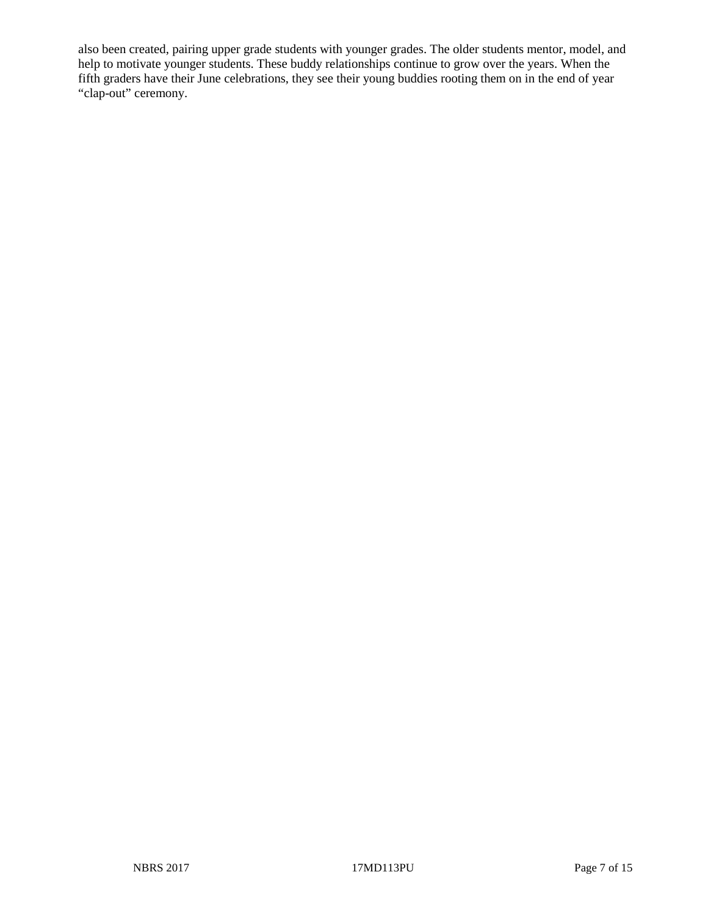also been created, pairing upper grade students with younger grades. The older students mentor, model, and help to motivate younger students. These buddy relationships continue to grow over the years. When the fifth graders have their June celebrations, they see their young buddies rooting them on in the end of year "clap-out" ceremony.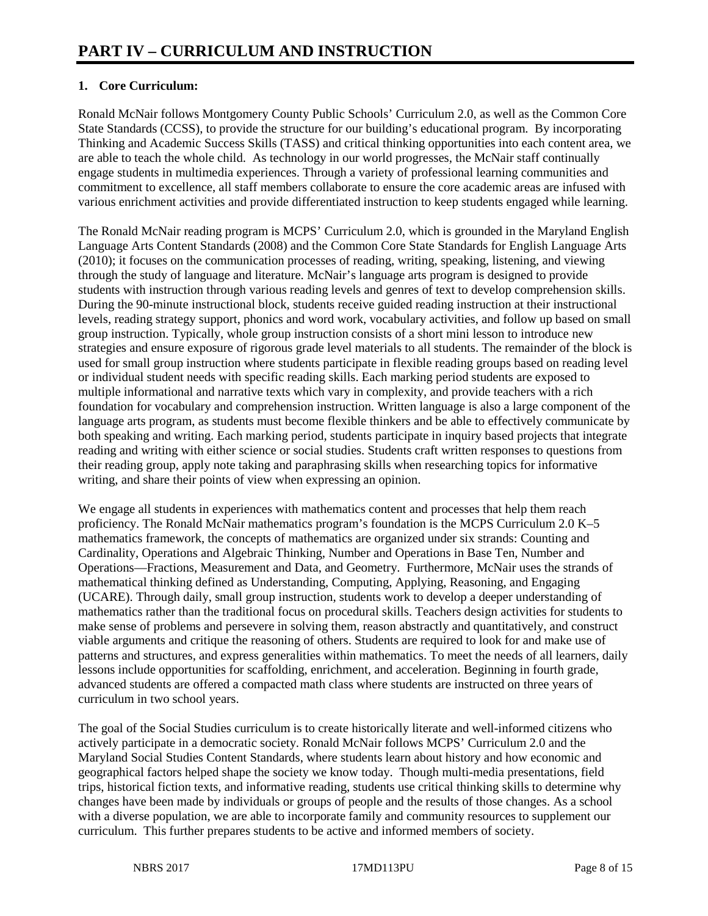## **1. Core Curriculum:**

Ronald McNair follows Montgomery County Public Schools' Curriculum 2.0, as well as the Common Core State Standards (CCSS), to provide the structure for our building's educational program. By incorporating Thinking and Academic Success Skills (TASS) and critical thinking opportunities into each content area, we are able to teach the whole child. As technology in our world progresses, the McNair staff continually engage students in multimedia experiences. Through a variety of professional learning communities and commitment to excellence, all staff members collaborate to ensure the core academic areas are infused with various enrichment activities and provide differentiated instruction to keep students engaged while learning.

The Ronald McNair reading program is MCPS' Curriculum 2.0, which is grounded in the Maryland English Language Arts Content Standards (2008) and the Common Core State Standards for English Language Arts (2010); it focuses on the communication processes of reading, writing, speaking, listening, and viewing through the study of language and literature. McNair's language arts program is designed to provide students with instruction through various reading levels and genres of text to develop comprehension skills. During the 90-minute instructional block, students receive guided reading instruction at their instructional levels, reading strategy support, phonics and word work, vocabulary activities, and follow up based on small group instruction. Typically, whole group instruction consists of a short mini lesson to introduce new strategies and ensure exposure of rigorous grade level materials to all students. The remainder of the block is used for small group instruction where students participate in flexible reading groups based on reading level or individual student needs with specific reading skills. Each marking period students are exposed to multiple informational and narrative texts which vary in complexity, and provide teachers with a rich foundation for vocabulary and comprehension instruction. Written language is also a large component of the language arts program, as students must become flexible thinkers and be able to effectively communicate by both speaking and writing. Each marking period, students participate in inquiry based projects that integrate reading and writing with either science or social studies. Students craft written responses to questions from their reading group, apply note taking and paraphrasing skills when researching topics for informative writing, and share their points of view when expressing an opinion.

We engage all students in experiences with mathematics content and processes that help them reach proficiency. The Ronald McNair mathematics program's foundation is the MCPS Curriculum 2.0 K–5 mathematics framework, the concepts of mathematics are organized under six strands: Counting and Cardinality, Operations and Algebraic Thinking, Number and Operations in Base Ten, Number and Operations—Fractions, Measurement and Data, and Geometry. Furthermore, McNair uses the strands of mathematical thinking defined as Understanding, Computing, Applying, Reasoning, and Engaging (UCARE). Through daily, small group instruction, students work to develop a deeper understanding of mathematics rather than the traditional focus on procedural skills. Teachers design activities for students to make sense of problems and persevere in solving them, reason abstractly and quantitatively, and construct viable arguments and critique the reasoning of others. Students are required to look for and make use of patterns and structures, and express generalities within mathematics. To meet the needs of all learners, daily lessons include opportunities for scaffolding, enrichment, and acceleration. Beginning in fourth grade, advanced students are offered a compacted math class where students are instructed on three years of curriculum in two school years.

The goal of the Social Studies curriculum is to create historically literate and well-informed citizens who actively participate in a democratic society. Ronald McNair follows MCPS' Curriculum 2.0 and the Maryland Social Studies Content Standards, where students learn about history and how economic and geographical factors helped shape the society we know today. Though multi-media presentations, field trips, historical fiction texts, and informative reading, students use critical thinking skills to determine why changes have been made by individuals or groups of people and the results of those changes. As a school with a diverse population, we are able to incorporate family and community resources to supplement our curriculum. This further prepares students to be active and informed members of society.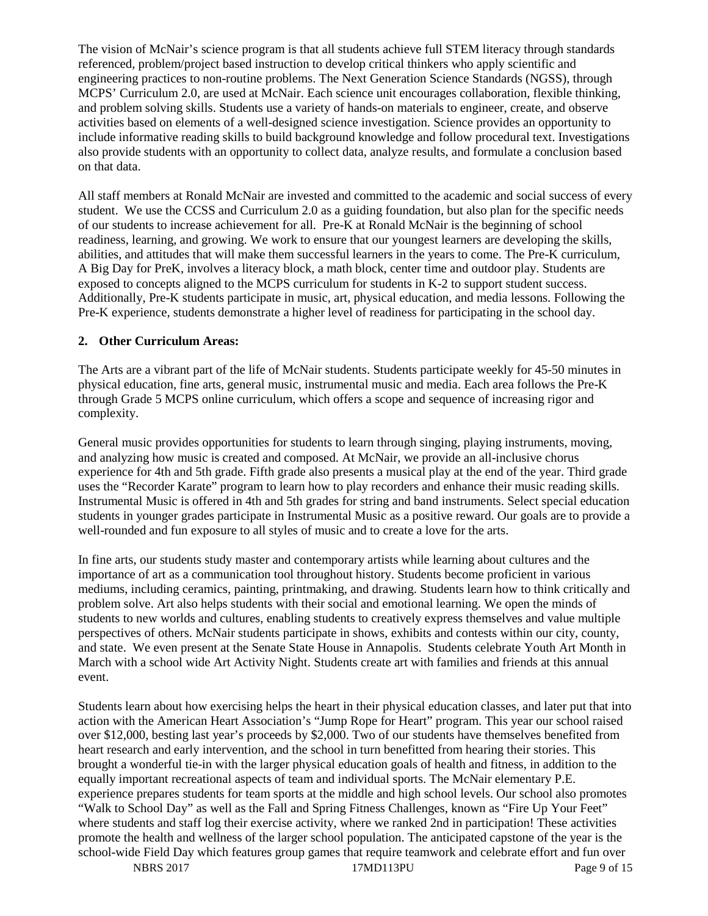The vision of McNair's science program is that all students achieve full STEM literacy through standards referenced, problem/project based instruction to develop critical thinkers who apply scientific and engineering practices to non-routine problems. The Next Generation Science Standards (NGSS), through MCPS' Curriculum 2.0, are used at McNair. Each science unit encourages collaboration, flexible thinking, and problem solving skills. Students use a variety of hands-on materials to engineer, create, and observe activities based on elements of a well-designed science investigation. Science provides an opportunity to include informative reading skills to build background knowledge and follow procedural text. Investigations also provide students with an opportunity to collect data, analyze results, and formulate a conclusion based on that data.

All staff members at Ronald McNair are invested and committed to the academic and social success of every student. We use the CCSS and Curriculum 2.0 as a guiding foundation, but also plan for the specific needs of our students to increase achievement for all. Pre-K at Ronald McNair is the beginning of school readiness, learning, and growing. We work to ensure that our youngest learners are developing the skills, abilities, and attitudes that will make them successful learners in the years to come. The Pre-K curriculum, A Big Day for PreK, involves a literacy block, a math block, center time and outdoor play. Students are exposed to concepts aligned to the MCPS curriculum for students in K-2 to support student success. Additionally, Pre-K students participate in music, art, physical education, and media lessons. Following the Pre-K experience, students demonstrate a higher level of readiness for participating in the school day.

#### **2. Other Curriculum Areas:**

The Arts are a vibrant part of the life of McNair students. Students participate weekly for 45-50 minutes in physical education, fine arts, general music, instrumental music and media. Each area follows the Pre-K through Grade 5 MCPS online curriculum, which offers a scope and sequence of increasing rigor and complexity.

General music provides opportunities for students to learn through singing, playing instruments, moving, and analyzing how music is created and composed. At McNair, we provide an all-inclusive chorus experience for 4th and 5th grade. Fifth grade also presents a musical play at the end of the year. Third grade uses the "Recorder Karate" program to learn how to play recorders and enhance their music reading skills. Instrumental Music is offered in 4th and 5th grades for string and band instruments. Select special education students in younger grades participate in Instrumental Music as a positive reward. Our goals are to provide a well-rounded and fun exposure to all styles of music and to create a love for the arts.

In fine arts, our students study master and contemporary artists while learning about cultures and the importance of art as a communication tool throughout history. Students become proficient in various mediums, including ceramics, painting, printmaking, and drawing. Students learn how to think critically and problem solve. Art also helps students with their social and emotional learning. We open the minds of students to new worlds and cultures, enabling students to creatively express themselves and value multiple perspectives of others. McNair students participate in shows, exhibits and contests within our city, county, and state. We even present at the Senate State House in Annapolis. Students celebrate Youth Art Month in March with a school wide Art Activity Night. Students create art with families and friends at this annual event.

Students learn about how exercising helps the heart in their physical education classes, and later put that into action with the American Heart Association's "Jump Rope for Heart" program. This year our school raised over \$12,000, besting last year's proceeds by \$2,000. Two of our students have themselves benefited from heart research and early intervention, and the school in turn benefitted from hearing their stories. This brought a wonderful tie-in with the larger physical education goals of health and fitness, in addition to the equally important recreational aspects of team and individual sports. The McNair elementary P.E. experience prepares students for team sports at the middle and high school levels. Our school also promotes "Walk to School Day" as well as the Fall and Spring Fitness Challenges, known as "Fire Up Your Feet" where students and staff log their exercise activity, where we ranked 2nd in participation! These activities promote the health and wellness of the larger school population. The anticipated capstone of the year is the school-wide Field Day which features group games that require teamwork and celebrate effort and fun over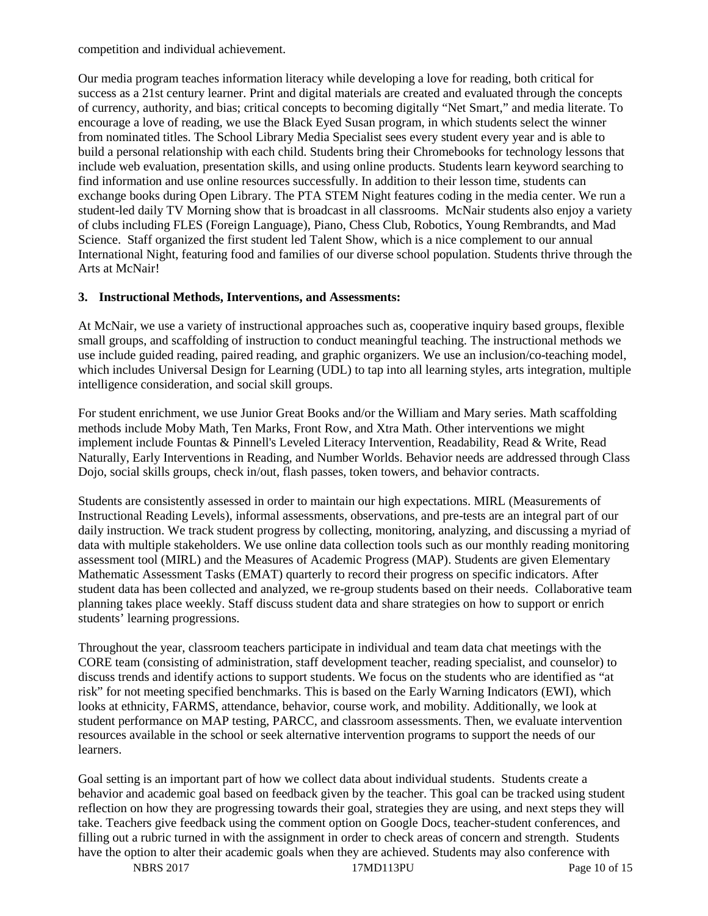competition and individual achievement.

Our media program teaches information literacy while developing a love for reading, both critical for success as a 21st century learner. Print and digital materials are created and evaluated through the concepts of currency, authority, and bias; critical concepts to becoming digitally "Net Smart," and media literate. To encourage a love of reading, we use the Black Eyed Susan program, in which students select the winner from nominated titles. The School Library Media Specialist sees every student every year and is able to build a personal relationship with each child. Students bring their Chromebooks for technology lessons that include web evaluation, presentation skills, and using online products. Students learn keyword searching to find information and use online resources successfully. In addition to their lesson time, students can exchange books during Open Library. The PTA STEM Night features coding in the media center. We run a student-led daily TV Morning show that is broadcast in all classrooms. McNair students also enjoy a variety of clubs including FLES (Foreign Language), Piano, Chess Club, Robotics, Young Rembrandts, and Mad Science. Staff organized the first student led Talent Show, which is a nice complement to our annual International Night, featuring food and families of our diverse school population. Students thrive through the Arts at McNair!

#### **3. Instructional Methods, Interventions, and Assessments:**

At McNair, we use a variety of instructional approaches such as, cooperative inquiry based groups, flexible small groups, and scaffolding of instruction to conduct meaningful teaching. The instructional methods we use include guided reading, paired reading, and graphic organizers. We use an inclusion/co-teaching model, which includes Universal Design for Learning (UDL) to tap into all learning styles, arts integration, multiple intelligence consideration, and social skill groups.

For student enrichment, we use Junior Great Books and/or the William and Mary series. Math scaffolding methods include Moby Math, Ten Marks, Front Row, and Xtra Math. Other interventions we might implement include Fountas & Pinnell's Leveled Literacy Intervention, Readability, Read & Write, Read Naturally, Early Interventions in Reading, and Number Worlds. Behavior needs are addressed through Class Dojo, social skills groups, check in/out, flash passes, token towers, and behavior contracts.

Students are consistently assessed in order to maintain our high expectations. MIRL (Measurements of Instructional Reading Levels), informal assessments, observations, and pre-tests are an integral part of our daily instruction. We track student progress by collecting, monitoring, analyzing, and discussing a myriad of data with multiple stakeholders. We use online data collection tools such as our monthly reading monitoring assessment tool (MIRL) and the Measures of Academic Progress (MAP). Students are given Elementary Mathematic Assessment Tasks (EMAT) quarterly to record their progress on specific indicators. After student data has been collected and analyzed, we re-group students based on their needs. Collaborative team planning takes place weekly. Staff discuss student data and share strategies on how to support or enrich students' learning progressions.

Throughout the year, classroom teachers participate in individual and team data chat meetings with the CORE team (consisting of administration, staff development teacher, reading specialist, and counselor) to discuss trends and identify actions to support students. We focus on the students who are identified as "at risk" for not meeting specified benchmarks. This is based on the Early Warning Indicators (EWI), which looks at ethnicity, FARMS, attendance, behavior, course work, and mobility. Additionally, we look at student performance on MAP testing, PARCC, and classroom assessments. Then, we evaluate intervention resources available in the school or seek alternative intervention programs to support the needs of our learners.

Goal setting is an important part of how we collect data about individual students. Students create a behavior and academic goal based on feedback given by the teacher. This goal can be tracked using student reflection on how they are progressing towards their goal, strategies they are using, and next steps they will take. Teachers give feedback using the comment option on Google Docs, teacher-student conferences, and filling out a rubric turned in with the assignment in order to check areas of concern and strength. Students have the option to alter their academic goals when they are achieved. Students may also conference with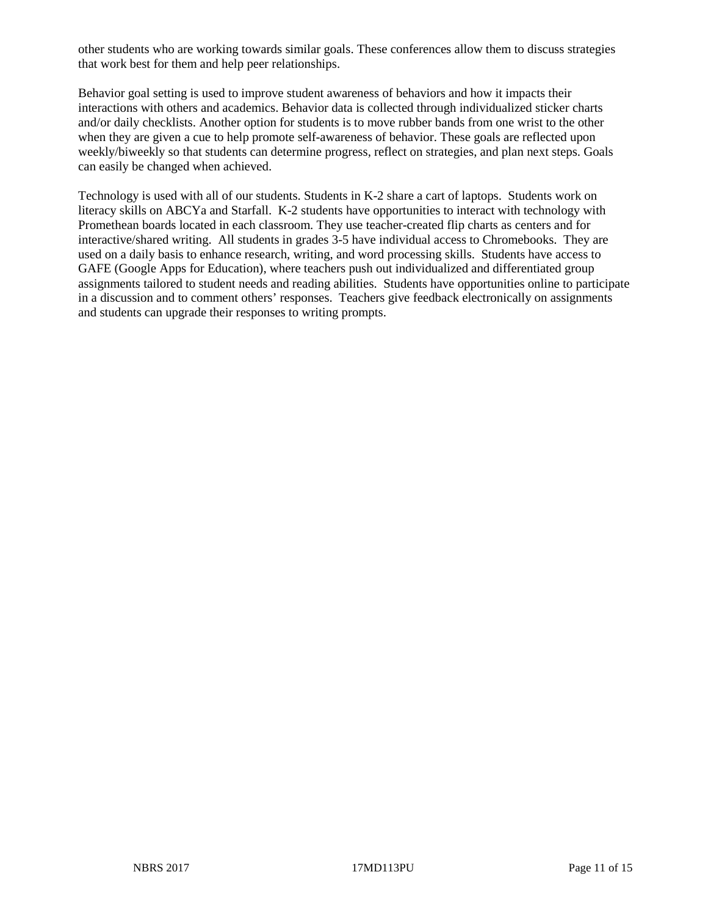other students who are working towards similar goals. These conferences allow them to discuss strategies that work best for them and help peer relationships.

Behavior goal setting is used to improve student awareness of behaviors and how it impacts their interactions with others and academics. Behavior data is collected through individualized sticker charts and/or daily checklists. Another option for students is to move rubber bands from one wrist to the other when they are given a cue to help promote self-awareness of behavior. These goals are reflected upon weekly/biweekly so that students can determine progress, reflect on strategies, and plan next steps. Goals can easily be changed when achieved.

Technology is used with all of our students. Students in K-2 share a cart of laptops. Students work on literacy skills on ABCYa and Starfall. K-2 students have opportunities to interact with technology with Promethean boards located in each classroom. They use teacher-created flip charts as centers and for interactive/shared writing. All students in grades 3-5 have individual access to Chromebooks. They are used on a daily basis to enhance research, writing, and word processing skills. Students have access to GAFE (Google Apps for Education), where teachers push out individualized and differentiated group assignments tailored to student needs and reading abilities. Students have opportunities online to participate in a discussion and to comment others' responses. Teachers give feedback electronically on assignments and students can upgrade their responses to writing prompts.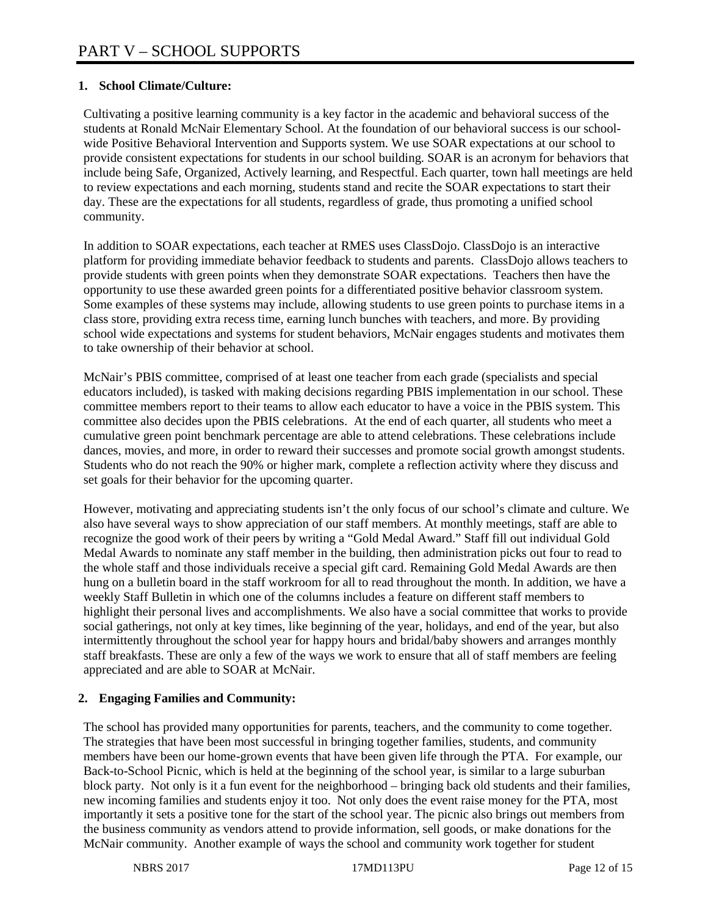## **1. School Climate/Culture:**

Cultivating a positive learning community is a key factor in the academic and behavioral success of the students at Ronald McNair Elementary School. At the foundation of our behavioral success is our schoolwide Positive Behavioral Intervention and Supports system. We use SOAR expectations at our school to provide consistent expectations for students in our school building. SOAR is an acronym for behaviors that include being Safe, Organized, Actively learning, and Respectful. Each quarter, town hall meetings are held to review expectations and each morning, students stand and recite the SOAR expectations to start their day. These are the expectations for all students, regardless of grade, thus promoting a unified school community.

In addition to SOAR expectations, each teacher at RMES uses ClassDojo. ClassDojo is an interactive platform for providing immediate behavior feedback to students and parents. ClassDojo allows teachers to provide students with green points when they demonstrate SOAR expectations. Teachers then have the opportunity to use these awarded green points for a differentiated positive behavior classroom system. Some examples of these systems may include, allowing students to use green points to purchase items in a class store, providing extra recess time, earning lunch bunches with teachers, and more. By providing school wide expectations and systems for student behaviors, McNair engages students and motivates them to take ownership of their behavior at school.

McNair's PBIS committee, comprised of at least one teacher from each grade (specialists and special educators included), is tasked with making decisions regarding PBIS implementation in our school. These committee members report to their teams to allow each educator to have a voice in the PBIS system. This committee also decides upon the PBIS celebrations. At the end of each quarter, all students who meet a cumulative green point benchmark percentage are able to attend celebrations. These celebrations include dances, movies, and more, in order to reward their successes and promote social growth amongst students. Students who do not reach the 90% or higher mark, complete a reflection activity where they discuss and set goals for their behavior for the upcoming quarter.

However, motivating and appreciating students isn't the only focus of our school's climate and culture. We also have several ways to show appreciation of our staff members. At monthly meetings, staff are able to recognize the good work of their peers by writing a "Gold Medal Award." Staff fill out individual Gold Medal Awards to nominate any staff member in the building, then administration picks out four to read to the whole staff and those individuals receive a special gift card. Remaining Gold Medal Awards are then hung on a bulletin board in the staff workroom for all to read throughout the month. In addition, we have a weekly Staff Bulletin in which one of the columns includes a feature on different staff members to highlight their personal lives and accomplishments. We also have a social committee that works to provide social gatherings, not only at key times, like beginning of the year, holidays, and end of the year, but also intermittently throughout the school year for happy hours and bridal/baby showers and arranges monthly staff breakfasts. These are only a few of the ways we work to ensure that all of staff members are feeling appreciated and are able to SOAR at McNair.

### **2. Engaging Families and Community:**

The school has provided many opportunities for parents, teachers, and the community to come together. The strategies that have been most successful in bringing together families, students, and community members have been our home-grown events that have been given life through the PTA. For example, our Back-to-School Picnic, which is held at the beginning of the school year, is similar to a large suburban block party. Not only is it a fun event for the neighborhood – bringing back old students and their families, new incoming families and students enjoy it too. Not only does the event raise money for the PTA, most importantly it sets a positive tone for the start of the school year. The picnic also brings out members from the business community as vendors attend to provide information, sell goods, or make donations for the McNair community. Another example of ways the school and community work together for student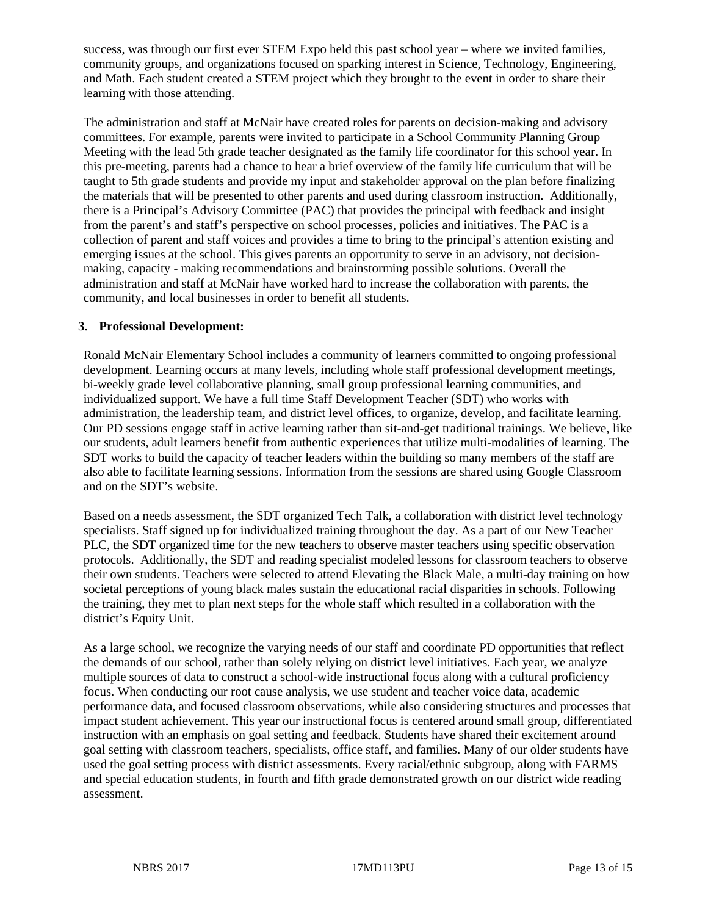success, was through our first ever STEM Expo held this past school year – where we invited families, community groups, and organizations focused on sparking interest in Science, Technology, Engineering, and Math. Each student created a STEM project which they brought to the event in order to share their learning with those attending.

The administration and staff at McNair have created roles for parents on decision-making and advisory committees. For example, parents were invited to participate in a School Community Planning Group Meeting with the lead 5th grade teacher designated as the family life coordinator for this school year. In this pre-meeting, parents had a chance to hear a brief overview of the family life curriculum that will be taught to 5th grade students and provide my input and stakeholder approval on the plan before finalizing the materials that will be presented to other parents and used during classroom instruction. Additionally, there is a Principal's Advisory Committee (PAC) that provides the principal with feedback and insight from the parent's and staff's perspective on school processes, policies and initiatives. The PAC is a collection of parent and staff voices and provides a time to bring to the principal's attention existing and emerging issues at the school. This gives parents an opportunity to serve in an advisory, not decisionmaking, capacity - making recommendations and brainstorming possible solutions. Overall the administration and staff at McNair have worked hard to increase the collaboration with parents, the community, and local businesses in order to benefit all students.

#### **3. Professional Development:**

Ronald McNair Elementary School includes a community of learners committed to ongoing professional development. Learning occurs at many levels, including whole staff professional development meetings, bi-weekly grade level collaborative planning, small group professional learning communities, and individualized support. We have a full time Staff Development Teacher (SDT) who works with administration, the leadership team, and district level offices, to organize, develop, and facilitate learning. Our PD sessions engage staff in active learning rather than sit-and-get traditional trainings. We believe, like our students, adult learners benefit from authentic experiences that utilize multi-modalities of learning. The SDT works to build the capacity of teacher leaders within the building so many members of the staff are also able to facilitate learning sessions. Information from the sessions are shared using Google Classroom and on the SDT's website.

Based on a needs assessment, the SDT organized Tech Talk, a collaboration with district level technology specialists. Staff signed up for individualized training throughout the day. As a part of our New Teacher PLC, the SDT organized time for the new teachers to observe master teachers using specific observation protocols. Additionally, the SDT and reading specialist modeled lessons for classroom teachers to observe their own students. Teachers were selected to attend Elevating the Black Male, a multi-day training on how societal perceptions of young black males sustain the educational racial disparities in schools. Following the training, they met to plan next steps for the whole staff which resulted in a collaboration with the district's Equity Unit.

As a large school, we recognize the varying needs of our staff and coordinate PD opportunities that reflect the demands of our school, rather than solely relying on district level initiatives. Each year, we analyze multiple sources of data to construct a school-wide instructional focus along with a cultural proficiency focus. When conducting our root cause analysis, we use student and teacher voice data, academic performance data, and focused classroom observations, while also considering structures and processes that impact student achievement. This year our instructional focus is centered around small group, differentiated instruction with an emphasis on goal setting and feedback. Students have shared their excitement around goal setting with classroom teachers, specialists, office staff, and families. Many of our older students have used the goal setting process with district assessments. Every racial/ethnic subgroup, along with FARMS and special education students, in fourth and fifth grade demonstrated growth on our district wide reading assessment.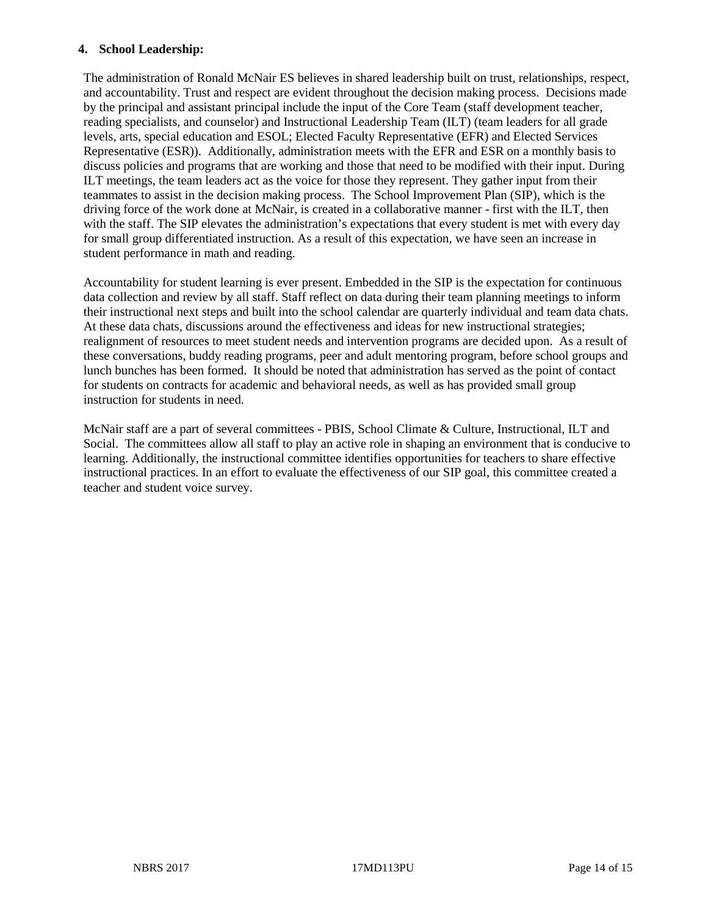#### **4. School Leadership:**

The administration of Ronald McNair ES believes in shared leadership built on trust, relationships, respect, and accountability. Trust and respect are evident throughout the decision making process. Decisions made by the principal and assistant principal include the input of the Core Team (staff development teacher, reading specialists, and counselor) and Instructional Leadership Team (ILT) (team leaders for all grade levels, arts, special education and ESOL; Elected Faculty Representative (EFR) and Elected Services Representative (ESR)). Additionally, administration meets with the EFR and ESR on a monthly basis to discuss policies and programs that are working and those that need to be modified with their input. During ILT meetings, the team leaders act as the voice for those they represent. They gather input from their teammates to assist in the decision making process. The School Improvement Plan (SIP), which is the driving force of the work done at McNair, is created in a collaborative manner - first with the ILT, then with the staff. The SIP elevates the administration's expectations that every student is met with every day for small group differentiated instruction. As a result of this expectation, we have seen an increase in student performance in math and reading.

Accountability for student learning is ever present. Embedded in the SIP is the expectation for continuous data collection and review by all staff. Staff reflect on data during their team planning meetings to inform their instructional next steps and built into the school calendar are quarterly individual and team data chats. At these data chats, discussions around the effectiveness and ideas for new instructional strategies; realignment of resources to meet student needs and intervention programs are decided upon. As a result of these conversations, buddy reading programs, peer and adult mentoring program, before school groups and lunch bunches has been formed. It should be noted that administration has served as the point of contact for students on contracts for academic and behavioral needs, as well as has provided small group instruction for students in need.

McNair staff are a part of several committees - PBIS, School Climate & Culture, Instructional, ILT and Social. The committees allow all staff to play an active role in shaping an environment that is conducive to learning. Additionally, the instructional committee identifies opportunities for teachers to share effective instructional practices. In an effort to evaluate the effectiveness of our SIP goal, this committee created a teacher and student voice survey.